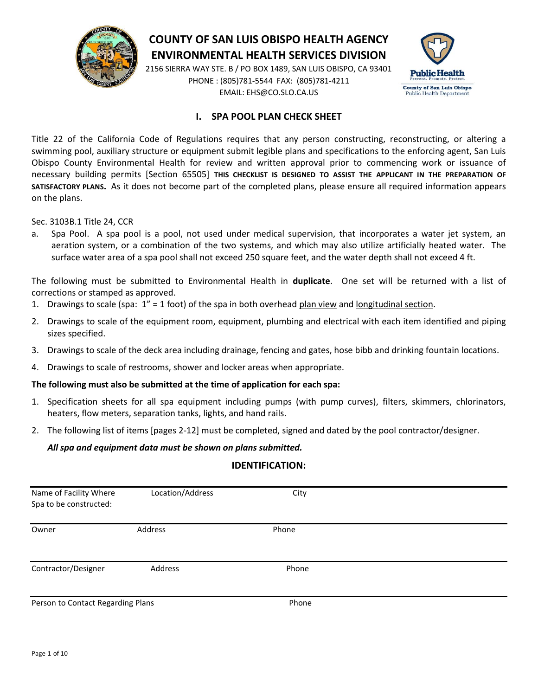

# **COUNTY OF SAN LUIS OBISPO HEALTH AGENCY ENVIRONMENTAL HEALTH SERVICES DIVISION**

2156 SIERRA WAY STE. B / PO BOX 1489, SAN LUIS OBISPO, CA 93401 PHONE : (805)781-5544 FAX: (805)781-4211 EMAIL: EHS@CO.SLO.CA.US



### **I. SPA POOL PLAN CHECK SHEET**

Title 22 of the California Code of Regulations requires that any person constructing, reconstructing, or altering a swimming pool, auxiliary structure or equipment submit legible plans and specifications to the enforcing agent, San Luis Obispo County Environmental Health for review and written approval prior to commencing work or issuance of necessary building permits [Section 65505] **THIS CHECKLIST IS DESIGNED TO ASSIST THE APPLICANT IN THE PREPARATION OF SATISFACTORY PLANS.** As it does not become part of the completed plans, please ensure all required information appears on the plans.

Sec. 3103B.1 Title 24, CCR

a. Spa Pool. A spa pool is a pool, not used under medical supervision, that incorporates a water jet system, an aeration system, or a combination of the two systems, and which may also utilize artificially heated water. The surface water area of a spa pool shall not exceed 250 square feet, and the water depth shall not exceed 4 ft.

The following must be submitted to Environmental Health in **duplicate**. One set will be returned with a list of corrections or stamped as approved.

- 1. Drawings to scale (spa:  $1'' = 1$  foot) of the spa in both overhead plan view and longitudinal section.
- 2. Drawings to scale of the equipment room, equipment, plumbing and electrical with each item identified and piping sizes specified.
- 3. Drawings to scale of the deck area including drainage, fencing and gates, hose bibb and drinking fountain locations.
- 4. Drawings to scale of restrooms, shower and locker areas when appropriate.

#### **The following must also be submitted at the time of application for each spa:**

- 1. Specification sheets for all spa equipment including pumps (with pump curves), filters, skimmers, chlorinators, heaters, flow meters, separation tanks, lights, and hand rails.
- 2. The following list of items [pages 2-12] must be completed, signed and dated by the pool contractor/designer.

#### *All spa and equipment data must be shown on plans submitted.*

#### **IDENTIFICATION:**

| Name of Facility Where<br>Spa to be constructed: | Location/Address | City  |  |
|--------------------------------------------------|------------------|-------|--|
| Owner                                            | Address          | Phone |  |
| Contractor/Designer                              | Address          | Phone |  |
| Person to Contact Regarding Plans                |                  | Phone |  |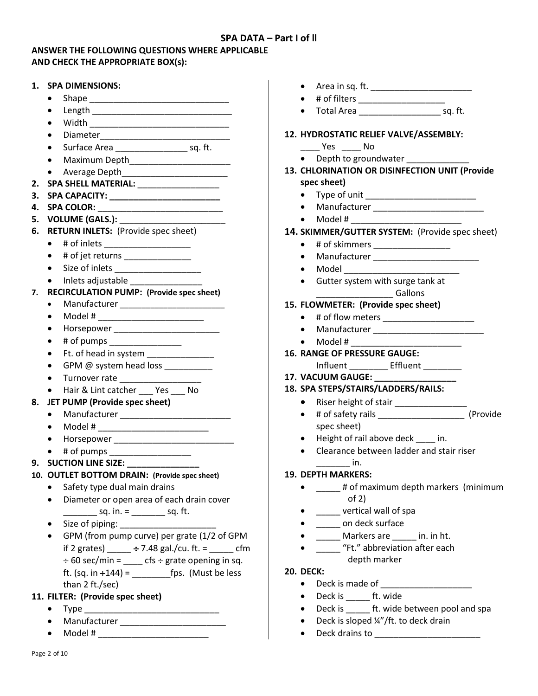# **SPA DATA – Part I of ll**

#### **ANSWER THE FOLLOWING QUESTIONS WHERE APPLICABLE AND CHECK THE APPROPRIATE BOX(s):**

| 1. SPA DIMENSIONS:                                                                          | $\bullet$                                                  |
|---------------------------------------------------------------------------------------------|------------------------------------------------------------|
| $\bullet$                                                                                   | # of filters _____________________<br>$\bullet$            |
| $\bullet$                                                                                   |                                                            |
| $\bullet$                                                                                   |                                                            |
|                                                                                             | 12. HYDROSTATIC RELIEF VALVE/ASSEMBLY:                     |
| Surface Area ________________________ sq. ft.                                               | $\rule{1em}{0.15mm}$ Yes $\rule{1em}{0.15mm}$ No           |
| $\bullet$                                                                                   | • Depth to groundwater                                     |
| $\bullet$                                                                                   | 13. CHLORINATION OR DISINFECTION UNIT (Provide             |
| 2. SPA SHELL MATERIAL: ________________                                                     | spec sheet)                                                |
| 3.                                                                                          | Type of unit ________________________________<br>$\bullet$ |
| 4.                                                                                          | $\bullet$                                                  |
| 5.                                                                                          | $\bullet$                                                  |
| <b>RETURN INLETS:</b> (Provide spec sheet)<br>6.                                            | 14. SKIMMER/GUTTER SYSTEM: (Provide spec sheet)            |
| # of inlets ______________________<br>$\bullet$                                             | # of skimmers _____________________<br>$\bullet$           |
| # of jet returns ________________<br>$\bullet$                                              | $\bullet$                                                  |
| $\bullet$                                                                                   | Model ____________________________<br>$\bullet$            |
| Inlets adjustable<br>$\bullet$                                                              | Gutter system with surge tank at<br>$\bullet$              |
| <b>RECIRCULATION PUMP: (Provide spec sheet)</b><br>7.                                       | <b>Gallons</b>                                             |
| $\bullet$                                                                                   | 15. FLOWMETER: (Provide spec sheet)                        |
| Model # ___________________________<br>$\bullet$                                            | # of flow meters _______________________<br>$\bullet$      |
| Horsepower ____________________________<br>$\bullet$                                        | $\bullet$                                                  |
| # of pumps ___________________<br>$\bullet$                                                 | Model # __________________________                         |
| Ft. of head in system _______________<br>$\bullet$                                          | <b>16. RANGE OF PRESSURE GAUGE:</b>                        |
| GPM @ system head loss __________<br>$\bullet$                                              | Influent __________ Effluent _______                       |
| Turnover rate ___________________<br>$\bullet$                                              | 17. VACUUM GAUGE: ______________                           |
| Hair & Lint catcher ____ Yes ____ No<br>$\bullet$                                           | 18. SPA STEPS/STAIRS/LADDERS/RAILS:                        |
| JET PUMP (Provide spec sheet)<br>8.                                                         | $\bullet$                                                  |
| $\bullet$                                                                                   | $\bullet$                                                  |
| Model # ___________________________<br>$\bullet$                                            | spec sheet)                                                |
|                                                                                             | Height of rail above deck ____ in.<br>$\bullet$            |
| # of pumps _____________________                                                            | • Clearance between ladder and stair riser                 |
|                                                                                             | $\mathsf{in}$ .                                            |
| 10. OUTLET BOTTOM DRAIN: (Provide spec sheet)                                               | <b>19. DEPTH MARKERS:</b>                                  |
| Safety type dual main drains<br>$\bullet$                                                   | # of maximum depth markers (minimum                        |
| Diameter or open area of each drain cover<br>$\bullet$                                      | of $2)$                                                    |
| ____________ sq. in. = __________ sq. ft.                                                   | _____ vertical wall of spa                                 |
| $\bullet$                                                                                   | on deck surface                                            |
| GPM (from pump curve) per grate (1/2 of GPM                                                 | Markers are _____ in. in ht.                               |
| $\bullet$                                                                                   | "Ft." abbreviation after each                              |
| if 2 grates) $\frac{+7.48 \text{ gal./cu. ft.} = \_ \text{cm}}{+1.48 \text{ gal./cu. ft.}}$ | depth marker                                               |
| $\div$ 60 sec/min = ____ cfs $\div$ grate opening in sq.                                    |                                                            |
|                                                                                             | <b>20. DECK:</b>                                           |
| than 2 ft./sec)                                                                             | • Deck is made of ______________________                   |
| 11. FILTER: (Provide spec sheet)                                                            | Deck is _______ ft. wide<br>$\bullet$                      |
|                                                                                             | Deck is _______ ft. wide between pool and spa<br>$\bullet$ |

- 
- Manufacturer \_\_\_\_\_\_\_\_\_\_\_\_\_\_\_\_\_\_\_\_\_\_
- Model # \_\_\_\_\_\_\_\_\_\_\_\_\_\_\_\_\_\_\_\_\_\_\_

● Deck is sloped ¼"/ft. to deck drain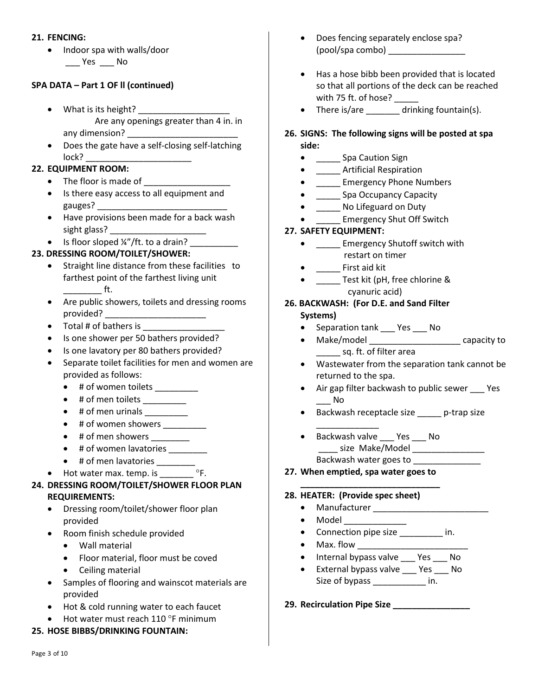#### **21. FENCING:**

• Indoor spa with walls/door \_\_\_ Yes \_\_\_ No

## **SPA DATA – Part 1 OF ll (continued)**

- What is its height? \_\_\_\_\_\_\_\_\_\_\_\_\_\_\_\_\_\_\_ Are any openings greater than 4 in. in any dimension?
- Does the gate have a self-closing self-latching  $lock?$

### **22. EQUIPMENT ROOM:**

- The floor is made of \_\_\_\_\_\_\_\_\_
- Is there easy access to all equipment and gauges?
- Have provisions been made for a back wash sight glass? \_\_\_\_\_\_\_\_\_\_\_\_\_\_\_\_\_\_\_\_
- $\bullet$  Is floor sloped ¼"/ft. to a drain?

# **23. DRESSING ROOM/TOILET/SHOWER:**

- Straight line distance from these facilities to farthest point of the farthest living unit \_\_\_\_\_\_\_\_ ft.
- Are public showers, toilets and dressing rooms provided? \_\_\_\_\_\_\_\_\_\_\_\_\_\_\_\_\_\_\_\_\_
- Total # of bathers is
- Is one shower per 50 bathers provided?
- Is one lavatory per 80 bathers provided?
- Separate toilet facilities for men and women are provided as follows:
	- # of women toilets \_\_\_\_\_\_\_\_\_
	- $\bullet$  # of men toilets \_\_\_\_\_\_\_\_\_\_
	- $\bullet$  # of men urinals
	- $\bullet$  # of women showers  $\_\_$
	- $\bullet$  # of men showers \_\_\_\_\_\_
	- # of women lavatories
	- # of men lavatories \_\_\_\_\_\_\_
	- Hot water max. temp. is \_\_\_\_\_\_\_\_ °F.

# **24. DRESSING ROOM/TOILET/SHOWER FLOOR PLAN REQUIREMENTS:**

- Dressing room/toilet/shower floor plan provided
- Room finish schedule provided
	- Wall material
	- Floor material, floor must be coved
	- Ceiling material
- Samples of flooring and wainscot materials are provided
- Hot & cold running water to each faucet
- $\bullet$  Hot water must reach 110 °F minimum

# **25. HOSE BIBBS/DRINKING FOUNTAIN:**

- Does fencing separately enclose spa? (pool/spa combo) \_\_\_\_\_\_\_\_\_\_\_\_\_\_\_\_
- Has a hose bibb been provided that is located so that all portions of the deck can be reached with 75 ft. of hose? \_\_\_\_\_
- There is/are \_\_\_\_\_\_\_ drinking fountain(s).
- **26. SIGNS: The following signs will be posted at spa side:**
	- \_\_\_\_\_\_\_ Spa Caution Sign
	- \_\_\_\_\_\_ Artificial Respiration
	- **\_\_\_\_\_\_** Emergency Phone Numbers
	- \_\_\_\_\_\_ Spa Occupancy Capacity
	- \_\_\_\_\_\_ No Lifeguard on Duty
	- \_\_\_\_\_ Emergency Shut Off Switch

# **27. SAFETY EQUIPMENT:**

- \_\_\_\_\_ Emergency Shutoff switch with restart on timer
- \_\_\_\_\_ First aid kit
- \_\_\_\_\_\_ Test kit (pH, free chlorine & cyanuric acid)

#### **26. BACKWASH: (For D.E. and Sand Filter Systems)**

- Separation tank \_\_\_ Yes \_\_\_ No
- Make/model example apacity to \_\_\_\_\_ sq. ft. of filter area
- Wastewater from the separation tank cannot be returned to the spa.
- Air gap filter backwash to public sewer Yes  $\blacksquare$  No
- Backwash receptacle size \_\_\_\_\_\_ p-trap size
- \_\_\_\_\_\_\_\_\_\_\_\_\_ • Backwash valve \_\_\_ Yes \_\_\_ No \_\_\_\_\_\_ size Make/Model \_\_\_\_\_\_\_\_\_\_\_\_\_\_\_\_\_\_\_\_ Backwash water goes to \_\_\_\_\_\_\_\_\_\_\_\_\_\_
- **27. When emptied, spa water goes to**

**\_\_\_\_\_\_\_\_\_\_\_\_\_\_\_\_\_\_\_\_\_\_\_\_\_\_\_\_\_**

### **28. HEATER: (Provide spec sheet)**

- Manufacturer \_\_\_\_\_\_\_\_\_\_\_\_\_\_\_\_\_\_\_\_\_\_\_\_
- $\bullet$  Model  $\bullet$
- Connection pipe size in.
- Max. flow \_\_\_\_\_\_\_\_\_\_\_\_\_\_\_\_\_\_\_\_\_\_\_
- Internal bypass valve \_\_\_ Yes \_\_\_ No
- External bypass valve \_\_\_ Yes \_\_\_ No Size of bypass \_\_\_\_\_\_\_\_\_\_\_ in.
- **29. Recirculation Pipe Size \_\_\_\_\_\_\_\_\_\_\_\_\_\_\_\_**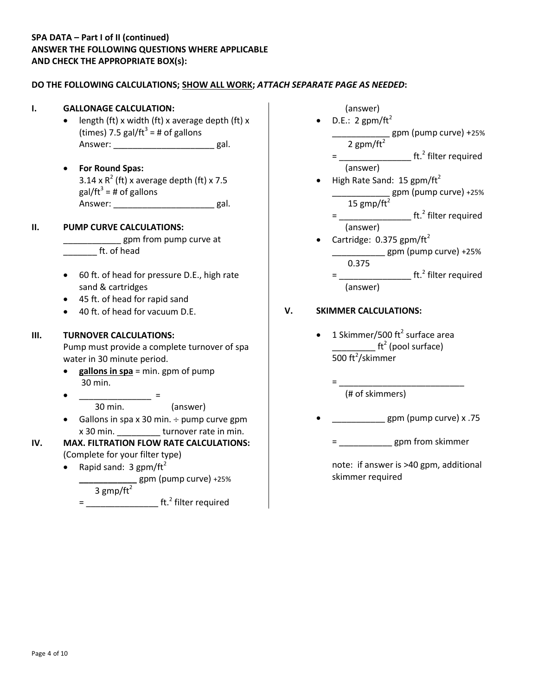### **SPA DATA – Part I of II (continued) ANSWER THE FOLLOWING QUESTIONS WHERE APPLICABLE AND CHECK THE APPROPRIATE BOX(s):**

#### **DO THE FOLLOWING CALCULATIONS; SHOW ALL WORK;** *ATTACH SEPARATE PAGE AS NEEDED***:**

# **I. GALLONAGE CALCULATION:**

- length (ft) x width (ft) x average depth (ft) x (times) 7.5 gal/ft<sup>3</sup> = # of gallons Answer: \_\_\_\_\_\_\_\_\_\_\_\_\_\_\_\_\_\_\_\_\_\_\_\_\_\_ gal.
	- **For Round Spas:** 3.14 x  $R^2$  (ft) x average depth (ft) x 7.5 gal/ft $^3$  = # of gallons Answer: each control and a gal.

#### **II. PUMP CURVE CALCULATIONS:**

\_\_\_ gpm from pump curve at \_\_\_\_\_\_\_ ft. of head

- 60 ft. of head for pressure D.E., high rate sand & cartridges
- 45 ft. of head for rapid sand
- 40 ft. of head for vacuum D.E.

#### **III. TURNOVER CALCULATIONS:**

Pump must provide a complete turnover of spa water in 30 minute period.

- **•** gallons in spa = min. gpm of pump 30 min.
- $\bullet$   $\qquad \qquad =$ 30 min. (answer)
- Gallons in spa x 30 min.  $\div$  pump curve gpm x 30 min. \_\_\_\_\_\_\_\_\_ turnover rate in min.

**IV. MAX. FILTRATION FLOW RATE CALCULATIONS:** (Complete for your filter type)

• Rapid sand:  $3$  gpm/ft<sup>2</sup>

 **\_\_\_\_\_\_\_\_\_\_\_\_** gpm (pump curve) +25% 3 gmp/ft<sup>2</sup>

= \_\_\_\_\_\_\_\_\_\_\_\_\_\_\_\_\_\_\_\_ ft.<sup>2</sup> filter required



#### **V. SKIMMER CALCULATIONS:**

• 1 Skimmer/500 ft<sup>2</sup> surface area  $\begin{array}{ccc} \textcolor{blue}{\textbf{1}^2}\end{array}$  (pool surface) 500 ft $^2$ /skimmer

> = \_\_\_\_\_\_\_\_\_\_\_\_\_\_\_\_\_\_\_\_\_\_\_\_\_\_ (# of skimmers)

- \_\_\_\_\_\_\_\_\_\_\_ gpm (pump curve) x .75
	- = \_\_\_\_\_\_\_\_\_\_\_ gpm from skimmer

note: if answer is >40 gpm, additional skimmer required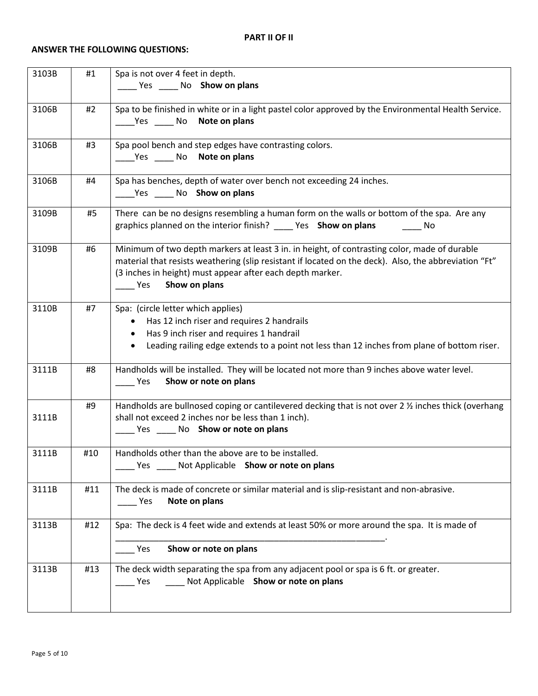### **ANSWER THE FOLLOWING QUESTIONS:**

| 3103B | #1  | Spa is not over 4 feet in depth.<br>______ Yes ______ No Show on plans                                                                                                                                                                                                                                          |
|-------|-----|-----------------------------------------------------------------------------------------------------------------------------------------------------------------------------------------------------------------------------------------------------------------------------------------------------------------|
| 3106B | #2  | Spa to be finished in white or in a light pastel color approved by the Environmental Health Service.<br>_____Yes ______ No Note on plans                                                                                                                                                                        |
| 3106B | #3  | Spa pool bench and step edges have contrasting colors.<br>_____Yes ______ No Note on plans                                                                                                                                                                                                                      |
| 3106B | #4  | Spa has benches, depth of water over bench not exceeding 24 inches.<br>Yes No Show on plans                                                                                                                                                                                                                     |
| 3109B | #5  | There can be no designs resembling a human form on the walls or bottom of the spa. Are any<br>graphics planned on the interior finish? ______ Yes Show on plans ________ No                                                                                                                                     |
| 3109B | #6  | Minimum of two depth markers at least 3 in. in height, of contrasting color, made of durable<br>material that resists weathering (slip resistant if located on the deck). Also, the abbreviation "Ft"<br>(3 inches in height) must appear after each depth marker.<br>Show on plans<br>$\rule{1em}{0.15mm}$ Yes |
| 3110B | #7  | Spa: (circle letter which applies)<br>Has 12 inch riser and requires 2 handrails<br>$\bullet$<br>Has 9 inch riser and requires 1 handrail<br>$\bullet$<br>Leading railing edge extends to a point not less than 12 inches from plane of bottom riser.<br>$\bullet$                                              |
| 3111B | #8  | Handholds will be installed. They will be located not more than 9 inches above water level.<br>Show or note on plans<br><b>Property</b>                                                                                                                                                                         |
| 3111B | #9  | Handholds are bullnosed coping or cantilevered decking that is not over 2 1/2 inches thick (overhang<br>shall not exceed 2 inches nor be less than 1 inch).<br>_____ Yes _____ No Show or note on plans                                                                                                         |
| 3111B | #10 | Handholds other than the above are to be installed.<br>Yes ______ Not Applicable Show or note on plans                                                                                                                                                                                                          |
| 3111B | #11 | The deck is made of concrete or similar material and is slip-resistant and non-abrasive.<br>Note on plans<br>Yes                                                                                                                                                                                                |
| 3113B | #12 | Spa: The deck is 4 feet wide and extends at least 50% or more around the spa. It is made of<br>Show or note on plans<br>Yes                                                                                                                                                                                     |
| 3113B | #13 | The deck width separating the spa from any adjacent pool or spa is 6 ft. or greater.<br>Not Applicable Show or note on plans<br><b>Property</b>                                                                                                                                                                 |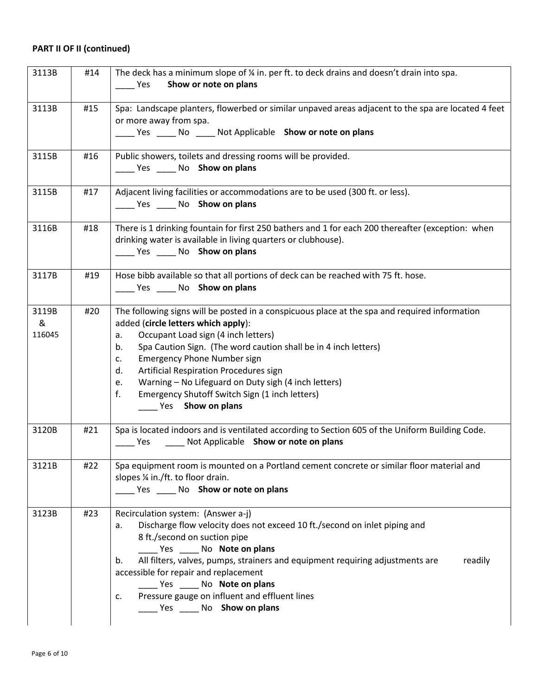| 3113B                | #14 | The deck has a minimum slope of % in. per ft. to deck drains and doesn't drain into spa.<br>Show or note on plans<br><b>Property</b>                                                                                                                                                                                                                                                                                                                                                                            |
|----------------------|-----|-----------------------------------------------------------------------------------------------------------------------------------------------------------------------------------------------------------------------------------------------------------------------------------------------------------------------------------------------------------------------------------------------------------------------------------------------------------------------------------------------------------------|
|                      |     |                                                                                                                                                                                                                                                                                                                                                                                                                                                                                                                 |
| 3113B                | #15 | Spa: Landscape planters, flowerbed or similar unpaved areas adjacent to the spa are located 4 feet<br>or more away from spa.<br>_____ Yes ______ No _____ Not Applicable Show or note on plans                                                                                                                                                                                                                                                                                                                  |
| 3115B                | #16 | Public showers, toilets and dressing rooms will be provided.<br>_____ Yes ______ No Show on plans                                                                                                                                                                                                                                                                                                                                                                                                               |
| 3115B                | #17 | Adjacent living facilities or accommodations are to be used (300 ft. or less).<br>Yes ______ No Show on plans                                                                                                                                                                                                                                                                                                                                                                                                   |
| 3116B                | #18 | There is 1 drinking fountain for first 250 bathers and 1 for each 200 thereafter (exception: when<br>drinking water is available in living quarters or clubhouse).<br>Yes No Show on plans                                                                                                                                                                                                                                                                                                                      |
| 3117B                | #19 | Hose bibb available so that all portions of deck can be reached with 75 ft. hose.<br>Yes ______ No Show on plans                                                                                                                                                                                                                                                                                                                                                                                                |
| 3119B<br>&<br>116045 | #20 | The following signs will be posted in a conspicuous place at the spa and required information<br>added (circle letters which apply):<br>Occupant Load sign (4 inch letters)<br>a.<br>Spa Caution Sign. (The word caution shall be in 4 inch letters)<br>b.<br><b>Emergency Phone Number sign</b><br>$C_{\star}$<br>Artificial Respiration Procedures sign<br>d.<br>Warning - No Lifeguard on Duty sigh (4 inch letters)<br>e.<br>f.<br>Emergency Shutoff Switch Sign (1 inch letters)<br>____ Yes Show on plans |
| 3120B                | #21 | Spa is located indoors and is ventilated according to Section 605 of the Uniform Building Code.<br>Ves ______ Not Applicable Show or note on plans                                                                                                                                                                                                                                                                                                                                                              |
| 3121B                | #22 | Spa equipment room is mounted on a Portland cement concrete or similar floor material and<br>slopes 1/4 in./ft. to floor drain.<br>Yes ______ No Show or note on plans                                                                                                                                                                                                                                                                                                                                          |
| 3123B                | #23 | Recirculation system: (Answer a-j)<br>Discharge flow velocity does not exceed 10 ft./second on inlet piping and<br>a.<br>8 ft./second on suction pipe<br>_____ Yes _____ No Note on plans<br>All filters, valves, pumps, strainers and equipment requiring adjustments are<br>readily<br>b.<br>accessible for repair and replacement<br>Yes ______ No Note on plans<br>Pressure gauge on influent and effluent lines<br>c.<br>Yes No Show on plans                                                              |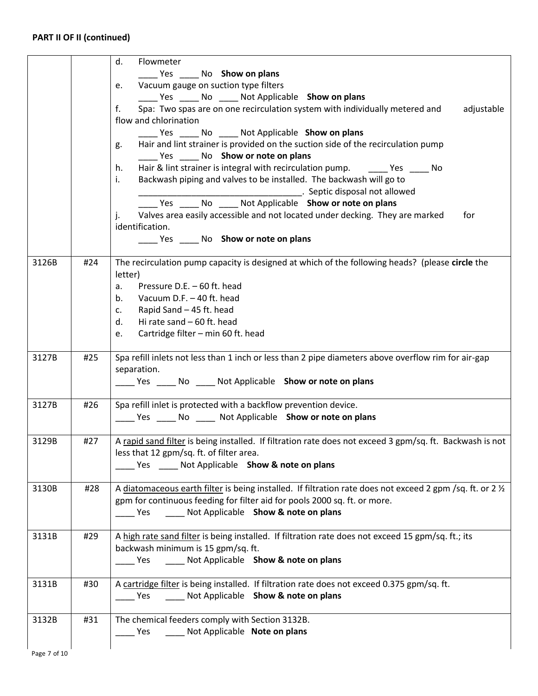|       |     | d.<br>Flowmeter<br>Yes No Show on plans<br>Vacuum gauge on suction type filters<br>e.<br>Yes _______ No _______ Not Applicable Show on plans<br>Spa: Two spas are on one recirculation system with individually metered and<br>f.<br>adjustable<br>flow and chlorination<br>_______ Yes _______ No ______ Not Applicable Show on plans<br>Hair and lint strainer is provided on the suction side of the recirculation pump<br>g.<br>Yes No Show or note on plans<br>Hair & lint strainer is integral with recirculation pump. Yes No<br>h.<br>Backwash piping and valves to be installed. The backwash will go to<br>i.<br>Later and Septic disposal not allowed |
|-------|-----|------------------------------------------------------------------------------------------------------------------------------------------------------------------------------------------------------------------------------------------------------------------------------------------------------------------------------------------------------------------------------------------------------------------------------------------------------------------------------------------------------------------------------------------------------------------------------------------------------------------------------------------------------------------|
|       |     | Yes ______ No ______ Not Applicable Show or note on plans<br>Valves area easily accessible and not located under decking. They are marked<br>j.<br>for<br>identification.<br>_____ Yes _____ No Show or note on plans                                                                                                                                                                                                                                                                                                                                                                                                                                            |
| 3126B | #24 | The recirculation pump capacity is designed at which of the following heads? (please circle the<br>letter)<br>Pressure D.E. - 60 ft. head<br>а.<br>Vacuum D.F. - 40 ft. head<br>$b_{\cdot}$<br>Rapid Sand - 45 ft. head<br>C.<br>Hi rate sand $-60$ ft. head<br>d.<br>Cartridge filter - min 60 ft. head<br>e.                                                                                                                                                                                                                                                                                                                                                   |
| 3127B | #25 | Spa refill inlets not less than 1 inch or less than 2 pipe diameters above overflow rim for air-gap<br>separation.<br>The Yes _______ No _______ Not Applicable Show or note on plans                                                                                                                                                                                                                                                                                                                                                                                                                                                                            |
| 3127B | #26 | Spa refill inlet is protected with a backflow prevention device.<br>_____ Yes _____ No _____ Not Applicable Show or note on plans                                                                                                                                                                                                                                                                                                                                                                                                                                                                                                                                |
| 3129B | #27 | A rapid sand filter is being installed. If filtration rate does not exceed 3 gpm/sq. ft. Backwash is not<br>less that 12 gpm/sq. ft. of filter area.<br>Yes _____ Not Applicable Show & note on plans                                                                                                                                                                                                                                                                                                                                                                                                                                                            |
| 3130B | #28 | A diatomaceous earth filter is being installed. If filtration rate does not exceed 2 gpm /sq. ft. or 2 1/2<br>gpm for continuous feeding for filter aid for pools 2000 sq. ft. or more.<br>Not Applicable Show & note on plans<br>Yes                                                                                                                                                                                                                                                                                                                                                                                                                            |
| 3131B | #29 | A high rate sand filter is being installed. If filtration rate does not exceed 15 gpm/sq. ft.; its<br>backwash minimum is 15 gpm/sq. ft.<br>Not Applicable Show & note on plans<br>Yes                                                                                                                                                                                                                                                                                                                                                                                                                                                                           |
| 3131B | #30 | A cartridge filter is being installed. If filtration rate does not exceed 0.375 gpm/sq. ft.<br>Not Applicable Show & note on plans<br>Yes                                                                                                                                                                                                                                                                                                                                                                                                                                                                                                                        |
| 3132B | #31 | The chemical feeders comply with Section 3132B.<br>Not Applicable Note on plans<br>Yes                                                                                                                                                                                                                                                                                                                                                                                                                                                                                                                                                                           |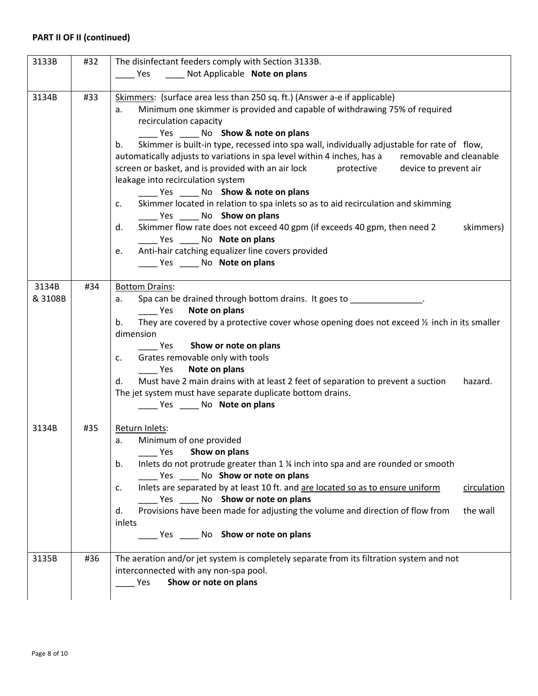| 3133B   | #32 | The disinfectant feeders comply with Section 3133B.                                                                              |  |  |
|---------|-----|----------------------------------------------------------------------------------------------------------------------------------|--|--|
|         |     | Not Applicable Note on plans<br>Yes                                                                                              |  |  |
|         |     |                                                                                                                                  |  |  |
| 3134B   |     | Skimmers: (surface area less than 250 sq. ft.) (Answer a-e if applicable)<br>#33                                                 |  |  |
|         |     | Minimum one skimmer is provided and capable of withdrawing 75% of required<br>a.                                                 |  |  |
|         |     | recirculation capacity<br>Yes No Show & note on plans                                                                            |  |  |
|         |     | Skimmer is built-in type, recessed into spa wall, individually adjustable for rate of flow,<br>b.                                |  |  |
|         |     | automatically adjusts to variations in spa level within 4 inches, has a removable and cleanable                                  |  |  |
|         |     | protective<br>screen or basket, and is provided with an air lock<br>device to prevent air                                        |  |  |
|         |     | leakage into recirculation system                                                                                                |  |  |
|         |     | Yes No Show & note on plans                                                                                                      |  |  |
|         |     | Skimmer located in relation to spa inlets so as to aid recirculation and skimming<br>C.                                          |  |  |
|         |     | Ves _______ No Show on plans                                                                                                     |  |  |
|         |     | Skimmer flow rate does not exceed 40 gpm (if exceeds 40 gpm, then need 2<br>skimmers)<br>d.                                      |  |  |
|         |     | Yes No Note on plans                                                                                                             |  |  |
|         |     | Anti-hair catching equalizer line covers provided<br>e.                                                                          |  |  |
|         |     | Yes No Note on plans                                                                                                             |  |  |
| 3134B   | #34 | <b>Bottom Drains:</b>                                                                                                            |  |  |
| & 3108B |     | Spa can be drained through bottom drains. It goes to ______________.<br>а.                                                       |  |  |
|         |     | Note on plans<br><b>Parage Yes</b>                                                                                               |  |  |
|         |     | They are covered by a protective cover whose opening does not exceed $\frac{1}{2}$ inch in its smaller<br>b.                     |  |  |
|         |     | dimension                                                                                                                        |  |  |
|         |     | Show or note on plans<br><b>Property</b>                                                                                         |  |  |
|         |     | Grates removable only with tools<br>c.                                                                                           |  |  |
|         |     | Note on plans<br><b>Yes</b><br>Must have 2 main drains with at least 2 feet of separation to prevent a suction<br>hazard.<br>d.  |  |  |
|         |     | The jet system must have separate duplicate bottom drains.                                                                       |  |  |
|         |     | Ves ______ No Note on plans                                                                                                      |  |  |
|         |     |                                                                                                                                  |  |  |
| 3134B   | #35 | Return Inlets:                                                                                                                   |  |  |
|         |     | Minimum of one provided<br>a.                                                                                                    |  |  |
|         |     | Show on plans<br>Yes                                                                                                             |  |  |
|         |     | Inlets do not protrude greater than 1 % inch into spa and are rounded or smooth<br>b.                                            |  |  |
|         |     | Yes ______ No Show or note on plans                                                                                              |  |  |
|         |     | Inlets are separated by at least 10 ft. and are located so as to ensure uniform<br>circulation<br>c.                             |  |  |
|         |     | Yes ______ No Show or note on plans<br>Provisions have been made for adjusting the volume and direction of flow from<br>the wall |  |  |
|         |     | d.<br>inlets                                                                                                                     |  |  |
|         |     | ______ Yes ______ No Show or note on plans                                                                                       |  |  |
|         |     |                                                                                                                                  |  |  |
| 3135B   | #36 | The aeration and/or jet system is completely separate from its filtration system and not                                         |  |  |
|         |     | interconnected with any non-spa pool.                                                                                            |  |  |
|         |     | Show or note on plans<br>Yes                                                                                                     |  |  |
|         |     |                                                                                                                                  |  |  |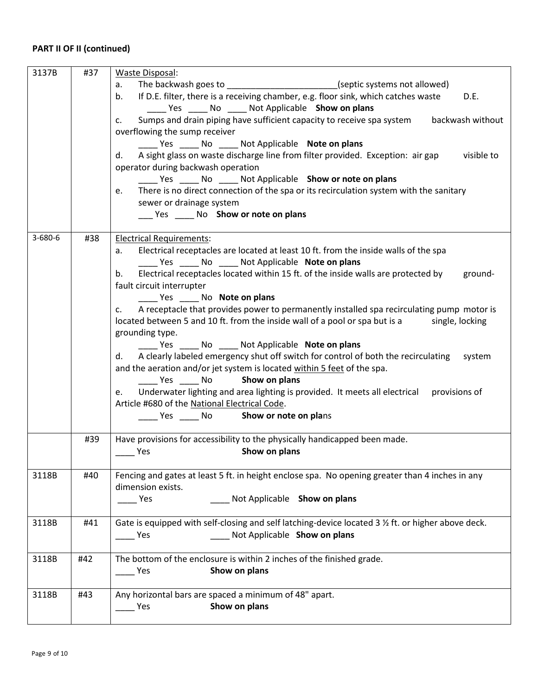| 3137B   | #37 | Waste Disposal:                                                                                     |
|---------|-----|-----------------------------------------------------------------------------------------------------|
|         |     | The backwash goes to ____________________________(septic systems not allowed)<br>a.                 |
|         |     | If D.E. filter, there is a receiving chamber, e.g. floor sink, which catches waste<br>D.E.<br>b.    |
|         |     | ______ Yes ______ No ______ Not Applicable Show on plans                                            |
|         |     | Sumps and drain piping have sufficient capacity to receive spa system backwash without<br>c.        |
|         |     | overflowing the sump receiver                                                                       |
|         |     | _____ Yes _____ No _____ Not Applicable Note on plans                                               |
|         |     | A sight glass on waste discharge line from filter provided. Exception: air gap visible to<br>d.     |
|         |     | operator during backwash operation                                                                  |
|         |     |                                                                                                     |
|         |     | _______ Yes _______ No _______ Not Applicable Show or note on plans                                 |
|         |     | There is no direct connection of the spa or its recirculation system with the sanitary<br>e.        |
|         |     | sewer or drainage system                                                                            |
|         |     | ____ Yes _____ No Show or note on plans                                                             |
|         |     |                                                                                                     |
| 3-680-6 | #38 | <b>Electrical Requirements:</b>                                                                     |
|         |     | Electrical receptacles are located at least 10 ft. from the inside walls of the spa<br>а.           |
|         |     | Yes _______ No ______ Not Applicable <b>Note on plans</b>                                           |
|         |     | Electrical receptacles located within 15 ft. of the inside walls are protected by ground-<br>b.     |
|         |     | fault circuit interrupter                                                                           |
|         |     | Yes No Note on plans                                                                                |
|         |     | A receptacle that provides power to permanently installed spa recirculating pump motor is<br>C.     |
|         |     | located between 5 and 10 ft. from the inside wall of a pool or spa but is a single, locking         |
|         |     | grounding type.                                                                                     |
|         |     | _______ Yes _______ No ______ Not Applicable Note on plans                                          |
|         |     | A clearly labeled emergency shut off switch for control of both the recirculating<br>system<br>d.   |
|         |     | and the aeration and/or jet system is located within 5 feet of the spa.                             |
|         |     | Yes No <b>Show on plans</b>                                                                         |
|         |     | Underwater lighting and area lighting is provided. It meets all electrical provisions of<br>e.      |
|         |     | Article #680 of the National Electrical Code.                                                       |
|         |     | ______ Yes ______ No _____ Show or note on plans                                                    |
|         |     |                                                                                                     |
|         | #39 | Have provisions for accessibility to the physically handicapped been made.                          |
|         |     |                                                                                                     |
|         |     | Show on plans<br><b>Yes</b>                                                                         |
|         |     |                                                                                                     |
| 3118B   | #40 | Fencing and gates at least 5 ft. in height enclose spa. No opening greater than 4 inches in any     |
|         |     | dimension exists.                                                                                   |
|         |     | Not Applicable Show on plans<br><b>Property</b>                                                     |
|         |     |                                                                                                     |
| 3118B   | #41 | Gate is equipped with self-closing and self latching-device located 3 1/2 ft. or higher above deck. |
|         |     | Not Applicable Show on plans<br>Yes                                                                 |
|         |     |                                                                                                     |
| 3118B   | #42 | The bottom of the enclosure is within 2 inches of the finished grade.                               |
|         |     | Show on plans<br><b>Property</b>                                                                    |
|         |     |                                                                                                     |
| 3118B   | #43 | Any horizontal bars are spaced a minimum of 48" apart.                                              |
|         |     | Show on plans<br><b>Property</b>                                                                    |
|         |     |                                                                                                     |